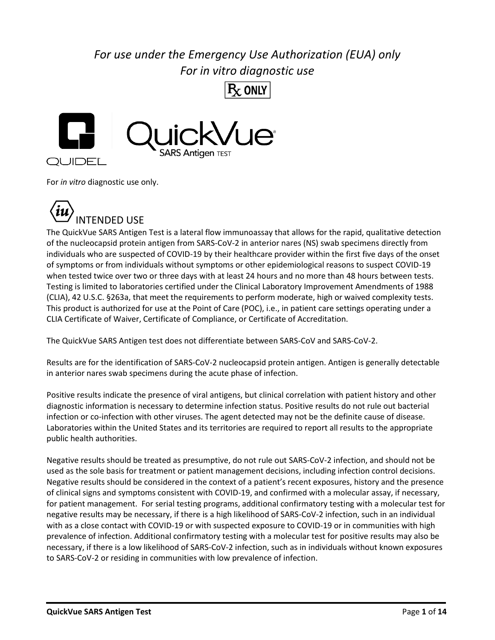## *For use under the Emergency Use Authorization (EUA) only For in vitro diagnostic use*



For *in vitro* diagnostic use only.



The QuickVue SARS Antigen Test is a lateral flow immunoassay that allows for the rapid, qualitative detection of the nucleocapsid protein antigen from SARS-CoV-2 in anterior nares (NS) swab specimens directly from individuals who are suspected of COVID-19 by their healthcare provider within the first five days of the onset of symptoms or from individuals without symptoms or other epidemiological reasons to suspect COVID-19 when tested twice over two or three days with at least 24 hours and no more than 48 hours between tests. Testing is limited to laboratories certified under the Clinical Laboratory Improvement Amendments of 1988 (CLIA), 42 U.S.C. §263a, that meet the requirements to perform moderate, high or waived complexity tests. This product is authorized for use at the Point of Care (POC), i.e., in patient care settings operating under a CLIA Certificate of Waiver, Certificate of Compliance, or Certificate of Accreditation.

The QuickVue SARS Antigen test does not differentiate between SARS-CoV and SARS-CoV-2.

Results are for the identification of SARS-CoV-2 nucleocapsid protein antigen. Antigen is generally detectable in anterior nares swab specimens during the acute phase of infection.

Positive results indicate the presence of viral antigens, but clinical correlation with patient history and other diagnostic information is necessary to determine infection status. Positive results do not rule out bacterial infection or co-infection with other viruses. The agent detected may not be the definite cause of disease. Laboratories within the United States and its territories are required to report all results to the appropriate public health authorities.

Negative results should be treated as presumptive, do not rule out SARS-CoV-2 infection, and should not be used as the sole basis for treatment or patient management decisions, including infection control decisions. Negative results should be considered in the context of a patient's recent exposures, history and the presence of clinical signs and symptoms consistent with COVID-19, and confirmed with a molecular assay, if necessary, for patient management. For serial testing programs, additional confirmatory testing with a molecular test for negative results may be necessary, if there is a high likelihood of SARS-CoV-2 infection, such in an individual with as a close contact with COVID-19 or with suspected exposure to COVID-19 or in communities with high prevalence of infection. Additional confirmatory testing with a molecular test for positive results may also be necessary, if there is a low likelihood of SARS-CoV-2 infection, such as in individuals without known exposures to SARS-CoV-2 or residing in communities with low prevalence of infection.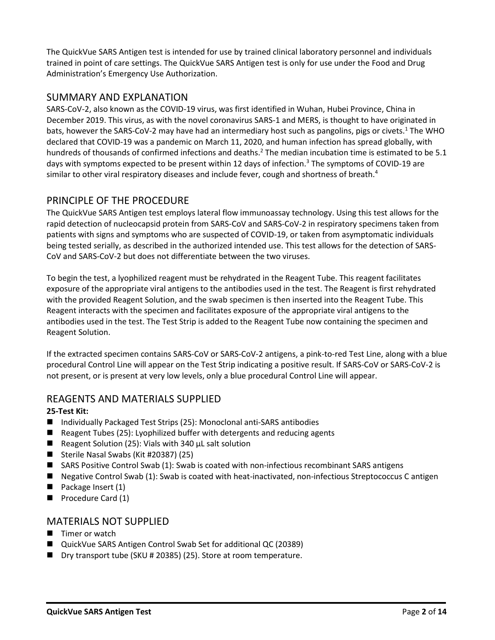The QuickVue SARS Antigen test is intended for use by trained clinical laboratory personnel and individuals trained in point of care settings. The QuickVue SARS Antigen test is only for use under the Food and Drug Administration's Emergency Use Authorization.

## SUMMARY AND EXPLANATION

SARS-CoV-2, also known as the COVID-19 virus, was first identified in Wuhan, Hubei Province, China in December 2019. This virus, as with the novel coronavirus SARS-1 and MERS, is thought to have originated in bats, however the SARS-CoV-2 may have had an intermediary host such as pangolins, pigs or civets.<sup>1</sup> The WHO declared that COVID-19 was a pandemic on March 11, 2020, and human infection has spread globally, with hundreds of thousands of confirmed infections and deaths.<sup>2</sup> The median incubation time is estimated to be 5.1 days with symptoms expected to be present within 12 days of infection.<sup>3</sup> The symptoms of COVID-19 are similar to other viral respiratory diseases and include fever, cough and shortness of breath. $4$ 

## PRINCIPLE OF THE PROCEDURE

The QuickVue SARS Antigen test employs lateral flow immunoassay technology. Using this test allows for the rapid detection of nucleocapsid protein from SARS-CoV and SARS-CoV-2 in respiratory specimens taken from patients with signs and symptoms who are suspected of COVID-19, or taken from asymptomatic individuals being tested serially, as described in the authorized intended use. This test allows for the detection of SARS-CoV and SARS-CoV-2 but does not differentiate between the two viruses.

To begin the test, a lyophilized reagent must be rehydrated in the Reagent Tube. This reagent facilitates exposure of the appropriate viral antigens to the antibodies used in the test. The Reagent is first rehydrated with the provided Reagent Solution, and the swab specimen is then inserted into the Reagent Tube. This Reagent interacts with the specimen and facilitates exposure of the appropriate viral antigens to the antibodies used in the test. The Test Strip is added to the Reagent Tube now containing the specimen and Reagent Solution.

If the extracted specimen contains SARS-CoV or SARS-CoV-2 antigens, a pink-to-red Test Line, along with a blue procedural Control Line will appear on the Test Strip indicating a positive result. If SARS-CoV or SARS-CoV-2 is not present, or is present at very low levels, only a blue procedural Control Line will appear.

## REAGENTS AND MATERIALS SUPPLIED

## **25-Test Kit:**

- Individually Packaged Test Strips (25): Monoclonal anti-SARS antibodies
- Reagent Tubes (25): Lyophilized buffer with detergents and reducing agents
- Reagent Solution (25): Vials with 340 μL salt solution
- Sterile Nasal Swabs (Kit #20387) (25)
- SARS Positive Control Swab (1): Swab is coated with non-infectious recombinant SARS antigens
- Negative Control Swab (1): Swab is coated with heat-inactivated, non-infectious Streptococcus C antigen
- Package Insert (1)
- Procedure Card (1)

## MATERIALS NOT SUPPLIED

- Timer or watch
- QuickVue SARS Antigen Control Swab Set for additional QC (20389)
- Dry transport tube (SKU # 20385) (25). Store at room temperature.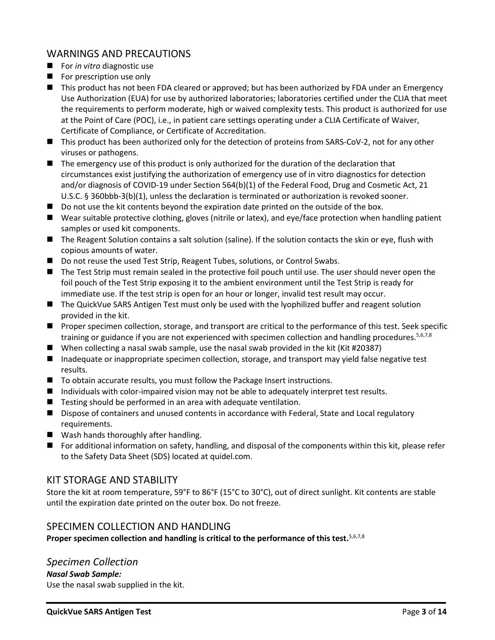## WARNINGS AND PRECAUTIONS

- For *in vitro* diagnostic use
- For prescription use only
- This product has not been FDA cleared or approved; but has been authorized by FDA under an Emergency Use Authorization (EUA) for use by authorized laboratories; laboratories certified under the CLIA that meet the requirements to perform moderate, high or waived complexity tests. This product is authorized for use at the Point of Care (POC), i.e., in patient care settings operating under a CLIA Certificate of Waiver, Certificate of Compliance, or Certificate of Accreditation.
- This product has been authorized only for the detection of proteins from SARS-CoV-2, not for any other viruses or pathogens.
- The emergency use of this product is only authorized for the duration of the declaration that circumstances exist justifying the authorization of emergency use of in vitro diagnostics for detection and/or diagnosis of COVID-19 under Section 564(b)(1) of the Federal Food, Drug and Cosmetic Act, 21 U.S.C. § 360bbb-3(b)(1), unless the declaration is terminated or authorization is revoked sooner.
- Do not use the kit contents beyond the expiration date printed on the outside of the box.
- Wear suitable protective clothing, gloves (nitrile or latex), and eye/face protection when handling patient samples or used kit components.
- The Reagent Solution contains a salt solution (saline). If the solution contacts the skin or eye, flush with copious amounts of water.
- Do not reuse the used Test Strip, Reagent Tubes, solutions, or Control Swabs.
- The Test Strip must remain sealed in the protective foil pouch until use. The user should never open the foil pouch of the Test Strip exposing it to the ambient environment until the Test Strip is ready for immediate use. If the test strip is open for an hour or longer, invalid test result may occur.
- The QuickVue SARS Antigen Test must only be used with the lyophilized buffer and reagent solution provided in the kit.
- Proper specimen collection, storage, and transport are critical to the performance of this test. Seek specific training or guidance if you are not experienced with specimen collection and handling procedures.<sup>5,6,7,8</sup>
- When collecting a nasal swab sample, use the nasal swab provided in the kit (Kit #20387)
- Inadequate or inappropriate specimen collection, storage, and transport may yield false negative test results.
- To obtain accurate results, you must follow the Package Insert instructions.
- Individuals with color-impaired vision may not be able to adequately interpret test results.
- Testing should be performed in an area with adequate ventilation.
- Dispose of containers and unused contents in accordance with Federal, State and Local regulatory requirements.
- Wash hands thoroughly after handling.
- For additional information on safety, handling, and disposal of the components within this kit, please refer to the Safety Data Sheet (SDS) located at quidel.com.

## KIT STORAGE AND STABILITY

Store the kit at room temperature, 59°F to 86°F (15°C to 30°C), out of direct sunlight. Kit contents are stable until the expiration date printed on the outer box. Do not freeze.

## SPECIMEN COLLECTION AND HANDLING

Proper specimen collection and handling is critical to the performance of this test.<sup>5,6,7,8</sup>

*Specimen Collection Nasal Swab Sample:* Use the nasal swab supplied in the kit.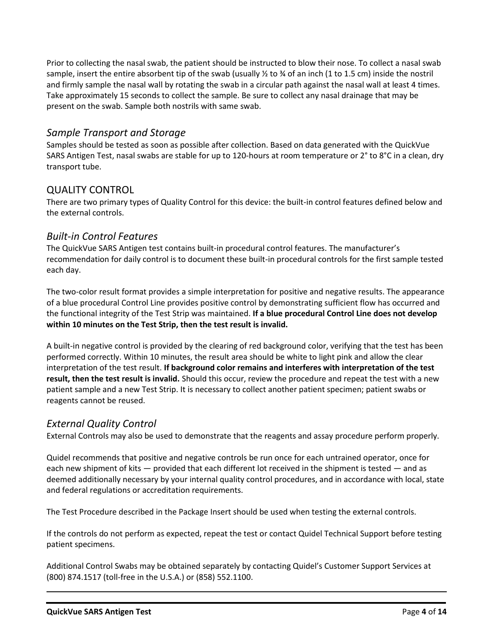Prior to collecting the nasal swab, the patient should be instructed to blow their nose. To collect a nasal swab sample, insert the entire absorbent tip of the swab (usually  $\frac{1}{2}$  to  $\frac{3}{4}$  of an inch (1 to 1.5 cm) inside the nostril and firmly sample the nasal wall by rotating the swab in a circular path against the nasal wall at least 4 times. Take approximately 15 seconds to collect the sample. Be sure to collect any nasal drainage that may be present on the swab. Sample both nostrils with same swab.

## *Sample Transport and Storage*

Samples should be tested as soon as possible after collection. Based on data generated with the QuickVue SARS Antigen Test, nasal swabs are stable for up to 120-hours at room temperature or 2° to 8°C in a clean, dry transport tube.

## QUALITY CONTROL

There are two primary types of Quality Control for this device: the built-in control features defined below and the external controls.

## *Built-in Control Features*

The QuickVue SARS Antigen test contains built-in procedural control features. The manufacturer's recommendation for daily control is to document these built-in procedural controls for the first sample tested each day.

The two-color result format provides a simple interpretation for positive and negative results. The appearance of a blue procedural Control Line provides positive control by demonstrating sufficient flow has occurred and the functional integrity of the Test Strip was maintained. **If a blue procedural Control Line does not develop within 10 minutes on the Test Strip, then the test result is invalid.**

A built-in negative control is provided by the clearing of red background color, verifying that the test has been performed correctly. Within 10 minutes, the result area should be white to light pink and allow the clear interpretation of the test result. **If background color remains and interferes with interpretation of the test result, then the test result is invalid.** Should this occur, review the procedure and repeat the test with a new patient sample and a new Test Strip. It is necessary to collect another patient specimen; patient swabs or reagents cannot be reused.

## *External Quality Control*

External Controls may also be used to demonstrate that the reagents and assay procedure perform properly.

Quidel recommends that positive and negative controls be run once for each untrained operator, once for each new shipment of kits — provided that each different lot received in the shipment is tested — and as deemed additionally necessary by your internal quality control procedures, and in accordance with local, state and federal regulations or accreditation requirements.

The Test Procedure described in the Package Insert should be used when testing the external controls.

If the controls do not perform as expected, repeat the test or contact Quidel Technical Support before testing patient specimens.

Additional Control Swabs may be obtained separately by contacting Quidel's Customer Support Services at (800) 874.1517 (toll-free in the U.S.A.) or (858) 552.1100.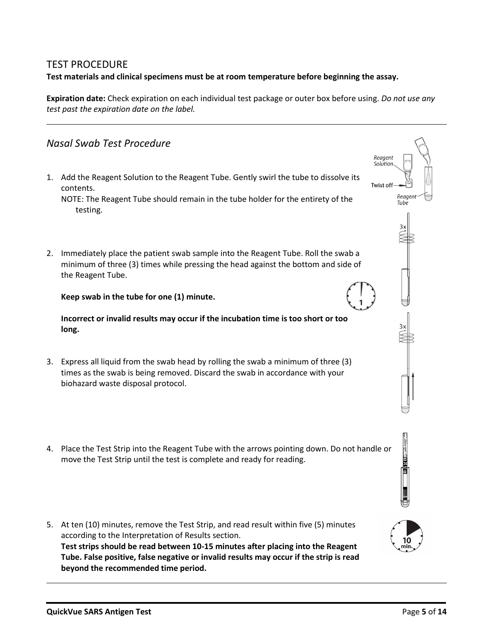## TEST PROCEDURE **Test materials and clinical specimens must be at room temperature before beginning the assay.**

**Expiration date:** Check expiration on each individual test package or outer box before using. *Do not use any test past the expiration date on the label.*

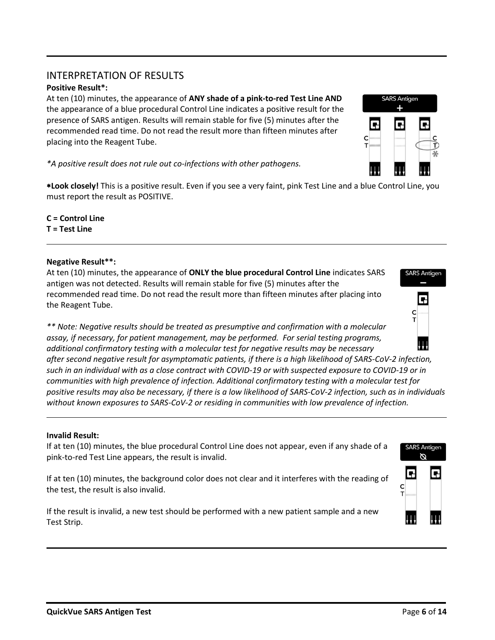## INTERPRETATION OF RESULTS

#### **Positive Result\*:**

At ten (10) minutes, the appearance of **ANY shade of a pink-to-red Test Line AND** the appearance of a blue procedural Control Line indicates a positive result for the presence of SARS antigen. Results will remain stable for five (5) minutes after the recommended read time. Do not read the result more than fifteen minutes after placing into the Reagent Tube.

*\*A positive result does not rule out co-infections with other pathogens.*

**Look closely!** This is a positive result. Even if you see a very faint, pink Test Line and a blue Control Line, you must report the result as POSITIVE.

**C = Control Line T = Test Line**

#### **Negative Result\*\*:**

At ten (10) minutes, the appearance of **ONLY the blue procedural Control Line** indicates SARS antigen was not detected. Results will remain stable for five (5) minutes after the recommended read time. Do not read the result more than fifteen minutes after placing into the Reagent Tube.

*\*\* Note: Negative results should be treated as presumptive and confirmation with a molecular assay, if necessary, for patient management, may be performed. For serial testing programs, additional confirmatory testing with a molecular test for negative results may be necessary* 

*after second negative result for asymptomatic patients, if there is a high likelihood of SARS-CoV-2 infection, such in an individual with as a close contract with COVID-19 or with suspected exposure to COVID-19 or in communities with high prevalence of infection. Additional confirmatory testing with a molecular test for positive results may also be necessary, if there is a low likelihood of SARS-CoV-2 infection, such as in individuals without known exposures to SARS-CoV-2 or residing in communities with low prevalence of infection.*

#### **Invalid Result:**

If at ten (10) minutes, the blue procedural Control Line does not appear, even if any shade of a pink-to-red Test Line appears, the result is invalid.

If at ten (10) minutes, the background color does not clear and it interferes with the reading of the test, the result is also invalid.

If the result is invalid, a new test should be performed with a new patient sample and a new Test Strip.





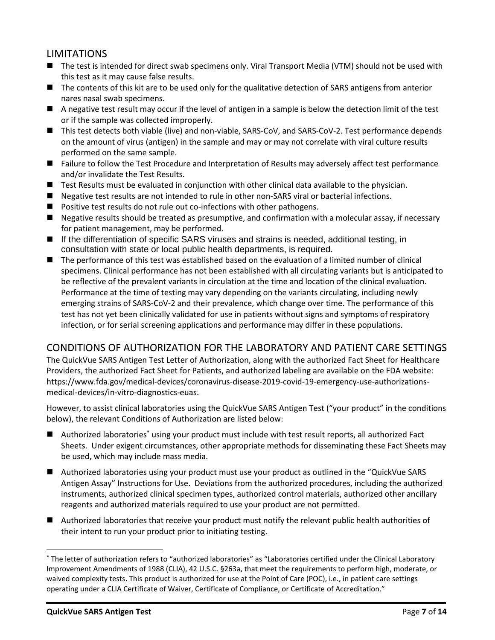## LIMITATIONS

- The test is intended for direct swab specimens only. Viral Transport Media (VTM) should not be used with this test as it may cause false results.
- The contents of this kit are to be used only for the qualitative detection of SARS antigens from anterior nares nasal swab specimens.
- A negative test result may occur if the level of antigen in a sample is below the detection limit of the test or if the sample was collected improperly.
- This test detects both viable (live) and non-viable, SARS-CoV, and SARS-CoV-2. Test performance depends on the amount of virus (antigen) in the sample and may or may not correlate with viral culture results performed on the same sample.
- Failure to follow the Test Procedure and Interpretation of Results may adversely affect test performance and/or invalidate the Test Results.
- Test Results must be evaluated in conjunction with other clinical data available to the physician.
- Negative test results are not intended to rule in other non-SARS viral or bacterial infections.
- Positive test results do not rule out co-infections with other pathogens.
- Negative results should be treated as presumptive, and confirmation with a molecular assay, if necessary for patient management, may be performed.
- If the differentiation of specific SARS viruses and strains is needed, additional testing, in consultation with state or local public health departments, is required.
- The performance of this test was established based on the evaluation of a limited number of clinical specimens. Clinical performance has not been established with all circulating variants but is anticipated to be reflective of the prevalent variants in circulation at the time and location of the clinical evaluation. Performance at the time of testing may vary depending on the variants circulating, including newly emerging strains of SARS-CoV-2 and their prevalence, which change over time. The performance of this test has not yet been clinically validated for use in patients without signs and symptoms of respiratory infection, or for serial screening applications and performance may differ in these populations.

## CONDITIONS OF AUTHORIZATION FOR THE LABORATORY AND PATIENT CARE SETTINGS

The QuickVue SARS Antigen Test Letter of Authorization, along with the authorized Fact Sheet for Healthcare Providers, the authorized Fact Sheet for Patients, and authorized labeling are available on the FDA website: https://www.fda.gov/medical-devices/coronavirus-disease-2019-covid-19-emergency-use-authorizationsmedical-devices/in-vitro-diagnostics-euas.

However, to assist clinical laboratories using the QuickVue SARS Antigen Test ("your product" in the conditions below), the relevant Conditions of Authorization are listed below:

- Authorized laboratories<sup>\*</sup> using your product must include with test result reports, all authorized Fact Sheets. Under exigent circumstances, other appropriate methods for disseminating these Fact Sheets may be used, which may include mass media.
- Authorized laboratories using your product must use your product as outlined in the "QuickVue SARS" Antigen Assay" Instructions for Use. Deviations from the authorized procedures, including the authorized instruments, authorized clinical specimen types, authorized control materials, authorized other ancillary reagents and authorized materials required to use your product are not permitted.
- Authorized laboratories that receive your product must notify the relevant public health authorities of their intent to run your product prior to initiating testing.

<sup>\*</sup> The letter of authorization refers to "authorized laboratories" as "Laboratories certified under the Clinical Laboratory Improvement Amendments of 1988 (CLIA), 42 U.S.C. §263a, that meet the requirements to perform high, moderate, or waived complexity tests. This product is authorized for use at the Point of Care (POC), i.e., in patient care settings operating under a CLIA Certificate of Waiver, Certificate of Compliance, or Certificate of Accreditation."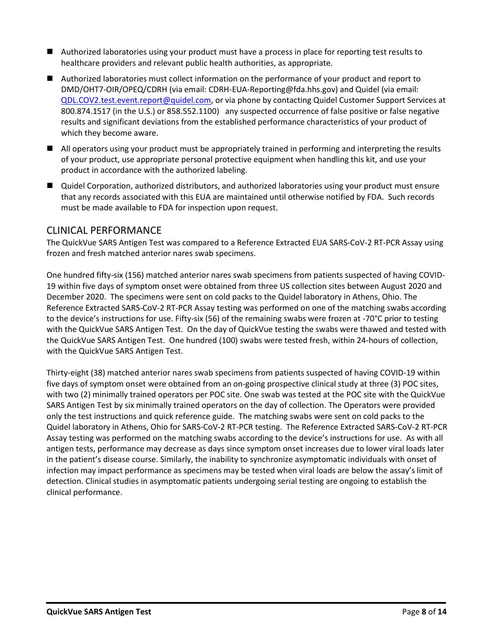- Authorized laboratories using your product must have a process in place for reporting test results to healthcare providers and relevant public health authorities, as appropriate.
- Authorized laboratories must collect information on the performance of your product and report to DMD/OHT7-OIR/OPEQ/CDRH (via email: CDRH-EUA-Reporting@fda.hhs.gov) and Quidel (via email: [QDL.COV2.test.event.report@quidel.com,](mailto:QDL.COV2.test.event.report@quidel.com) or via phone by contacting Quidel Customer Support Services at 800.874.1517 (in the U.S.) or 858.552.1100) any suspected occurrence of false positive or false negative results and significant deviations from the established performance characteristics of your product of which they become aware.
- All operators using your product must be appropriately trained in performing and interpreting the results of your product, use appropriate personal protective equipment when handling this kit, and use your product in accordance with the authorized labeling.
- Quidel Corporation, authorized distributors, and authorized laboratories using your product must ensure that any records associated with this EUA are maintained until otherwise notified by FDA. Such records must be made available to FDA for inspection upon request.

#### CLINICAL PERFORMANCE

The QuickVue SARS Antigen Test was compared to a Reference Extracted EUA SARS-CoV-2 RT-PCR Assay using frozen and fresh matched anterior nares swab specimens.

One hundred fifty-six (156) matched anterior nares swab specimens from patients suspected of having COVID-19 within five days of symptom onset were obtained from three US collection sites between August 2020 and December 2020. The specimens were sent on cold packs to the Quidel laboratory in Athens, Ohio. The Reference Extracted SARS-CoV-2 RT-PCR Assay testing was performed on one of the matching swabs according to the device's instructions for use. Fifty-six (56) of the remaining swabs were frozen at -70°C prior to testing with the QuickVue SARS Antigen Test. On the day of QuickVue testing the swabs were thawed and tested with the QuickVue SARS Antigen Test. One hundred (100) swabs were tested fresh, within 24-hours of collection, with the QuickVue SARS Antigen Test.

Thirty-eight (38) matched anterior nares swab specimens from patients suspected of having COVID-19 within five days of symptom onset were obtained from an on-going prospective clinical study at three (3) POC sites, with two (2) minimally trained operators per POC site. One swab was tested at the POC site with the QuickVue SARS Antigen Test by six minimally trained operators on the day of collection. The Operators were provided only the test instructions and quick reference guide. The matching swabs were sent on cold packs to the Quidel laboratory in Athens, Ohio for SARS-CoV-2 RT-PCR testing. The Reference Extracted SARS-CoV-2 RT-PCR Assay testing was performed on the matching swabs according to the device's instructions for use. As with all antigen tests, performance may decrease as days since symptom onset increases due to lower viral loads later in the patient's disease course. Similarly, the inability to synchronize asymptomatic individuals with onset of infection may impact performance as specimens may be tested when viral loads are below the assay's limit of detection. Clinical studies in asymptomatic patients undergoing serial testing are ongoing to establish the clinical performance.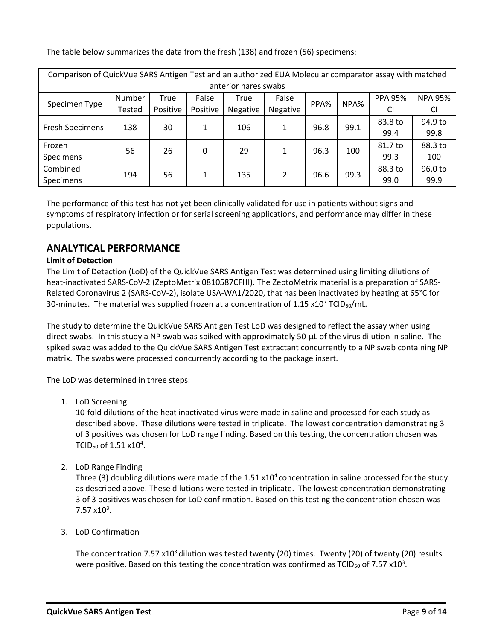The table below summarizes the data from the fresh (138) and frozen (56) specimens:

| Comparison of QuickVue SARS Antigen Test and an authorized EUA Molecular comparator assay with matched |        |          |          |          |               |      |      |                |                |
|--------------------------------------------------------------------------------------------------------|--------|----------|----------|----------|---------------|------|------|----------------|----------------|
| anterior nares swabs                                                                                   |        |          |          |          |               |      |      |                |                |
| Specimen Type                                                                                          | Number | True     | False    | True     | False<br>PPA% |      | NPA% | <b>PPA 95%</b> | <b>NPA 95%</b> |
|                                                                                                        | Tested | Positive | Positive | Negative | Negative      |      |      | CI             | CI             |
| <b>Fresh Specimens</b>                                                                                 | 138    | 30       | 1        | 106      |               | 96.8 | 99.1 | 83.8 to        | 94.9 to        |
|                                                                                                        |        |          |          |          |               |      |      | 99.4           | 99.8           |
| Frozen                                                                                                 | 56     | 26       | 0        | 29       |               | 96.3 | 100  | 81.7 to        | 88.3 to        |
| Specimens                                                                                              |        |          |          |          |               |      |      | 99.3           | 100            |
| Combined                                                                                               | 194    | 56       | 1        | 135      | 2             | 96.6 | 99.3 | 88.3 to        | 96.0 to        |
| Specimens                                                                                              |        |          |          |          |               |      |      | 99.0           | 99.9           |

The performance of this test has not yet been clinically validated for use in patients without signs and symptoms of respiratory infection or for serial screening applications, and performance may differ in these populations.

## **ANALYTICAL PERFORMANCE**

#### **Limit of Detection**

The Limit of Detection (LoD) of the QuickVue SARS Antigen Test was determined using limiting dilutions of heat-inactivated SARS-CoV-2 (ZeptoMetrix 0810587CFHI). The ZeptoMetrix material is a preparation of SARS-Related Coronavirus 2 (SARS-CoV-2), isolate USA-WA1/2020, that has been inactivated by heating at 65°C for 30-minutes. The material was supplied frozen at a concentration of  $1.15 \times 10^7$  TCID<sub>50</sub>/mL.

The study to determine the QuickVue SARS Antigen Test LoD was designed to reflect the assay when using direct swabs. In this study a NP swab was spiked with approximately 50-µL of the virus dilution in saline. The spiked swab was added to the QuickVue SARS Antigen Test extractant concurrently to a NP swab containing NP matrix. The swabs were processed concurrently according to the package insert.

The LoD was determined in three steps:

1. LoD Screening

10-fold dilutions of the heat inactivated virus were made in saline and processed for each study as described above. These dilutions were tested in triplicate. The lowest concentration demonstrating 3 of 3 positives was chosen for LoD range finding. Based on this testing, the concentration chosen was TCID<sub>50</sub> of 1.51  $\times$ 10<sup>4</sup>.

2. LoD Range Finding

Three (3) doubling dilutions were made of the  $1.51 \times 10^4$  concentration in saline processed for the study as described above. These dilutions were tested in triplicate. The lowest concentration demonstrating 3 of 3 positives was chosen for LoD confirmation. Based on this testing the concentration chosen was  $7.57 \times 10^3$ .

3. LoD Confirmation

The concentration 7.57  $\times 10^3$  dilution was tested twenty (20) times. Twenty (20) of twenty (20) results were positive. Based on this testing the concentration was confirmed as TCID<sub>50</sub> of 7.57 x10<sup>3</sup>.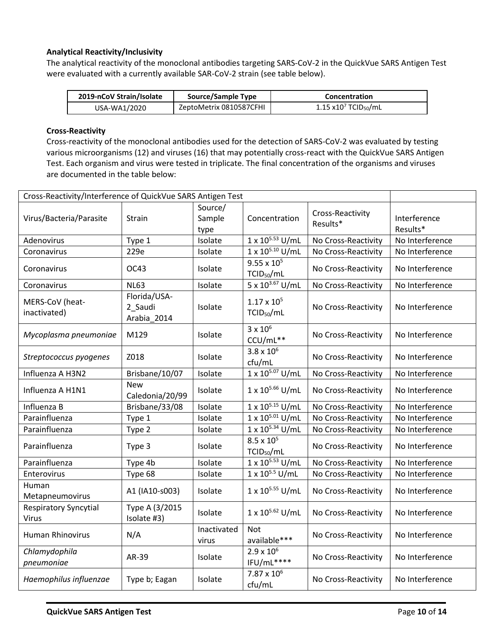#### **Analytical Reactivity/Inclusivity**

The analytical reactivity of the monoclonal antibodies targeting SARS-CoV-2 in the QuickVue SARS Antigen Test were evaluated with a currently available SAR-CoV-2 strain (see table below).

| 2019-nCoV Strain/Isolate | Source/Sample Type      | Concentration                               |
|--------------------------|-------------------------|---------------------------------------------|
| USA-WA1/2020             | ZeptoMetrix 0810587CFHI | $1.15 \times 10^{7}$ TCID <sub>50</sub> /mL |

#### **Cross-Reactivity**

Cross-reactivity of the monoclonal antibodies used for the detection of SARS-CoV-2 was evaluated by testing various microorganisms (12) and viruses (16) that may potentially cross-react with the QuickVue SARS Antigen Test. Each organism and virus were tested in triplicate. The final concentration of the organisms and viruses are documented in the table below:

| Cross-Reactivity/Interference of QuickVue SARS Antigen Test |                                        |                           |                                                |                              |                          |
|-------------------------------------------------------------|----------------------------------------|---------------------------|------------------------------------------------|------------------------------|--------------------------|
| Virus/Bacteria/Parasite                                     | Strain                                 | Source/<br>Sample<br>type | Concentration                                  | Cross-Reactivity<br>Results* | Interference<br>Results* |
| Adenovirus                                                  | Type 1                                 | Isolate                   | 1 x 105.53 U/mL                                | No Cross-Reactivity          | No Interference          |
| Coronavirus                                                 | 229e                                   | Isolate                   | 1 x 10 <sup>5.10</sup> U/mL                    | No Cross-Reactivity          | No Interference          |
| Coronavirus                                                 | OC43                                   | Isolate                   | $9.55 \times 10^{5}$<br>TCID <sub>50</sub> /mL | No Cross-Reactivity          | No Interference          |
| Coronavirus                                                 | <b>NL63</b>                            | Isolate                   | $5 \times 10^{3.67}$ U/mL                      | No Cross-Reactivity          | No Interference          |
| MERS-CoV (heat-<br>inactivated)                             | Florida/USA-<br>2_Saudi<br>Arabia_2014 | Isolate                   | $1.17 \times 10^{5}$<br>TCID <sub>50</sub> /mL | No Cross-Reactivity          | No Interference          |
| Mycoplasma pneumoniae                                       | M129                                   | Isolate                   | $3 \times 10^6$<br>CCU/mL**                    | No Cross-Reactivity          | No Interference          |
| Streptococcus pyogenes                                      | Z018                                   | Isolate                   | $3.8 \times 10^{6}$<br>cfu/mL                  | No Cross-Reactivity          | No Interference          |
| Influenza A H3N2                                            | Brisbane/10/07                         | Isolate                   | $1 \times 10^{5.07}$ U/mL                      | No Cross-Reactivity          | No Interference          |
| Influenza A H1N1                                            | <b>New</b><br>Caledonia/20/99          | Isolate                   | 1 x 105.66 U/mL                                | No Cross-Reactivity          | No Interference          |
| Influenza B                                                 | Brisbane/33/08                         | Isolate                   | $1 \times 10^{5.15}$ U/mL                      | No Cross-Reactivity          | No Interference          |
| Parainfluenza                                               | Type 1                                 | Isolate                   | 1 x 10 <sup>5.01</sup> U/mL                    | No Cross-Reactivity          | No Interference          |
| Parainfluenza                                               | Type 2                                 | Isolate                   | $1 \times 10^{5.34}$ U/mL                      | No Cross-Reactivity          | No Interference          |
| Parainfluenza                                               | Type 3                                 | Isolate                   | $8.5 \times 10^{5}$<br>TCID <sub>50</sub> /mL  | No Cross-Reactivity          | No Interference          |
| Parainfluenza                                               | Type 4b                                | Isolate                   | 1 x 10 <sup>5.53</sup> U/mL                    | No Cross-Reactivity          | No Interference          |
| Enterovirus                                                 | Type 68                                | Isolate                   | $1 \times 10^{5.5}$ U/mL                       | No Cross-Reactivity          | No Interference          |
| Human<br>Metapneumovirus                                    | A1 (IA10-s003)                         | Isolate                   | 1 x 10 <sup>5.55</sup> U/mL                    | No Cross-Reactivity          | No Interference          |
| <b>Respiratory Syncytial</b><br>Virus                       | Type A (3/2015<br>Isolate #3)          | Isolate                   | $1 \times 10^{5.62}$ U/mL                      | No Cross-Reactivity          | No Interference          |
| <b>Human Rhinovirus</b>                                     | N/A                                    | Inactivated<br>virus      | <b>Not</b><br>available***                     | No Cross-Reactivity          | No Interference          |
| Chlamydophila<br>pneumoniae                                 | AR-39                                  | Isolate                   | $2.9 \times 10^6$<br>IFU/mL****                | No Cross-Reactivity          | No Interference          |
| Haemophilus influenzae                                      | Type b; Eagan                          | Isolate                   | $7.87 \times 10^6$<br>cfu/mL                   | No Cross-Reactivity          | No Interference          |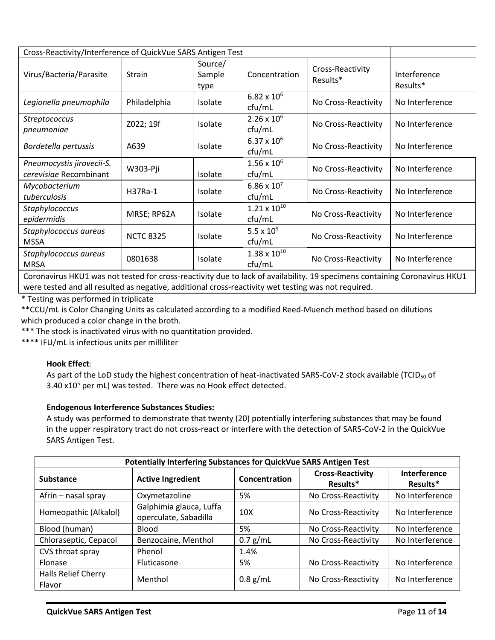| Cross-Reactivity/Interference of QuickVue SARS Antigen Test                                                                                                    |                  |                           |                                 |                              |                          |
|----------------------------------------------------------------------------------------------------------------------------------------------------------------|------------------|---------------------------|---------------------------------|------------------------------|--------------------------|
| Virus/Bacteria/Parasite                                                                                                                                        | <b>Strain</b>    | Source/<br>Sample<br>type | Concentration                   | Cross-Reactivity<br>Results* | Interference<br>Results* |
| Legionella pneumophila                                                                                                                                         | Philadelphia     | Isolate                   | $6.82 \times 10^{6}$<br>cfu/mL  | No Cross-Reactivity          | No Interference          |
| Streptococcus<br>pneumoniae                                                                                                                                    | Z022; 19f        | Isolate                   | $2.26 \times 10^{6}$<br>ctu/mL  | No Cross-Reactivity          | No Interference          |
| Bordetella pertussis                                                                                                                                           | A639             | <b>Isolate</b>            | $6.37 \times 10^{6}$<br>ctu/mL  | No Cross-Reactivity          | No Interference          |
| Pneumocystis jirovecii-S.<br>cerevisiae Recombinant                                                                                                            | W303-Pji         | Isolate                   | $1.56 \times 10^{6}$<br>cfu/mL  | No Cross-Reactivity          | No Interference          |
| Mycobacterium<br>tuberculosis                                                                                                                                  | H37Ra-1          | Isolate                   | $6.86 \times 10^{7}$<br>cfu/mL  | No Cross-Reactivity          | No Interference          |
| Staphylococcus<br>epidermidis                                                                                                                                  | MRSE; RP62A      | Isolate                   | $1.21 \times 10^{10}$<br>cfu/mL | No Cross-Reactivity          | No Interference          |
| Staphylococcus aureus<br><b>MSSA</b>                                                                                                                           | <b>NCTC 8325</b> | Isolate                   | 5.5 x $10^{9}$<br>cfu/mL        | No Cross-Reactivity          | No Interference          |
| Staphylococcus aureus<br><b>MRSA</b><br>Canana din 1999, the national famous constitutions in Iarl of analyticity. AC and discuss constitution Canana din 1999 | 0801638          | Isolate                   | $1.38 \times 10^{10}$<br>ctu/mL | No Cross-Reactivity          | No Interference          |

Coronavirus HKU1 was not tested for cross-reactivity due to lack of availability. 19 specimens containing Coronavirus HKU1 were tested and all resulted as negative, additional cross-reactivity wet testing was not required.

\* Testing was performed in triplicate

\*\*CCU/mL is Color Changing Units as calculated according to a modified Reed-Muench method based on dilutions which produced a color change in the broth.

\*\*\* The stock is inactivated virus with no quantitation provided.

\*\*\*\* IFU/mL is infectious units per milliliter

#### **Hook Effect***:*

As part of the LoD study the highest concentration of heat-inactivated SARS-CoV-2 stock available (TCID<sub>50</sub> of 3.40  $x10<sup>5</sup>$  per mL) was tested. There was no Hook effect detected.

#### **Endogenous Interference Substances Studies:**

A study was performed to demonstrate that twenty (20) potentially interfering substances that may be found in the upper respiratory tract do not cross-react or interfere with the detection of SARS-CoV-2 in the QuickVue SARS Antigen Test.

| Potentially Interfering Substances for QuickVue SARS Antigen Test |                                                  |                 |                                     |                                 |  |  |  |
|-------------------------------------------------------------------|--------------------------------------------------|-----------------|-------------------------------------|---------------------------------|--|--|--|
| <b>Substance</b>                                                  | <b>Active Ingredient</b>                         | Concentration   | <b>Cross-Reactivity</b><br>Results* | <b>Interference</b><br>Results* |  |  |  |
| Afrin – nasal spray                                               | Oxymetazoline                                    | 5%              | No Cross-Reactivity                 | No Interference                 |  |  |  |
| Homeopathic (Alkalol)                                             | Galphimia glauca, Luffa<br>operculate, Sabadilla | 10 <sub>X</sub> | No Cross-Reactivity                 | No Interference                 |  |  |  |
| Blood (human)                                                     | <b>Blood</b>                                     | 5%              | No Cross-Reactivity                 | No Interference                 |  |  |  |
| Chloraseptic, Cepacol                                             | Benzocaine, Menthol                              | $0.7$ g/mL      | No Cross-Reactivity                 | No Interference                 |  |  |  |
| CVS throat spray                                                  | Phenol                                           | 1.4%            |                                     |                                 |  |  |  |
| Flonase                                                           | Fluticasone                                      | 5%              | No Cross-Reactivity                 | No Interference                 |  |  |  |
| <b>Halls Relief Cherry</b><br>Flavor                              | Menthol                                          | $0.8$ g/mL      | No Cross-Reactivity                 | No Interference                 |  |  |  |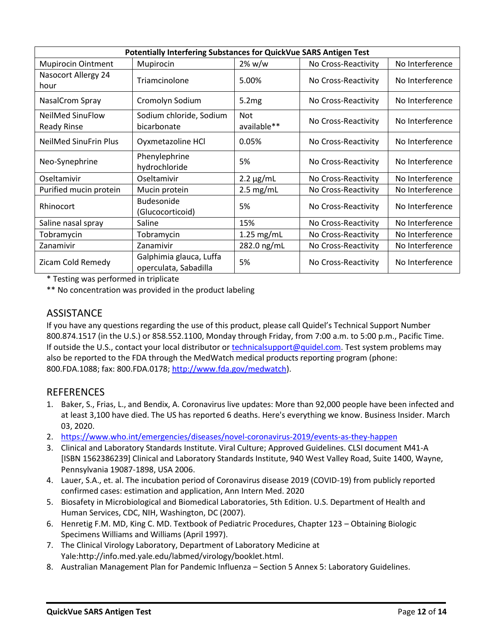| Potentially Interfering Substances for QuickVue SARS Antigen Test |                                                  |                           |                     |                 |  |  |
|-------------------------------------------------------------------|--------------------------------------------------|---------------------------|---------------------|-----------------|--|--|
| <b>Mupirocin Ointment</b>                                         | Mupirocin                                        | $2\%$ w/w                 | No Cross-Reactivity | No Interference |  |  |
| Nasocort Allergy 24<br>hour                                       | Triamcinolone                                    | 5.00%                     | No Cross-Reactivity | No Interference |  |  |
| NasalCrom Spray                                                   | Cromolyn Sodium                                  | 5.2mg                     | No Cross-Reactivity | No Interference |  |  |
| <b>NeilMed SinuFlow</b><br><b>Ready Rinse</b>                     | Sodium chloride, Sodium<br>bicarbonate           | <b>Not</b><br>available** | No Cross-Reactivity | No Interference |  |  |
| <b>NeilMed SinuFrin Plus</b>                                      | Oyxmetazoline HCl                                | 0.05%                     | No Cross-Reactivity | No Interference |  |  |
| Neo-Synephrine                                                    | Phenylephrine<br>hydrochloride                   | 5%                        | No Cross-Reactivity | No Interference |  |  |
| Oseltamivir                                                       | Oseltamivir                                      | $2.2 \mu g/mL$            | No Cross-Reactivity | No Interference |  |  |
| Purified mucin protein                                            | Mucin protein                                    | $2.5$ mg/mL               | No Cross-Reactivity | No Interference |  |  |
| Rhinocort                                                         | <b>Budesonide</b><br>(Glucocorticoid)            | 5%                        | No Cross-Reactivity | No Interference |  |  |
| Saline nasal spray                                                | Saline                                           | 15%                       | No Cross-Reactivity | No Interference |  |  |
| Tobramycin                                                        | Tobramycin                                       | $1.25$ mg/mL              | No Cross-Reactivity | No Interference |  |  |
| Zanamivir                                                         | Zanamivir                                        | 282.0 ng/mL               | No Cross-Reactivity | No Interference |  |  |
| Zicam Cold Remedy                                                 | Galphimia glauca, Luffa<br>operculata, Sabadilla | 5%                        | No Cross-Reactivity | No Interference |  |  |

\* Testing was performed in triplicate

\*\* No concentration was provided in the product labeling

## **ASSISTANCE**

If you have any questions regarding the use of this product, please call Quidel's Technical Support Number 800.874.1517 (in the U.S.) or 858.552.1100, Monday through Friday, from 7:00 a.m. to 5:00 p.m., Pacific Time. If outside the U.S., contact your local distributor o[r technicalsupport@quidel.com.](mailto:technicalsupport@quidel.com) Test system problems may also be reported to the FDA through the MedWatch medical products reporting program (phone: 800.FDA.1088; fax: 800.FDA.0178; [http://www.fda.gov/medwatch\)](http://www.fda.gov/medwatch).

## REFERENCES

- 1. Baker, S., Frias, L., and Bendix, A. Coronavirus live updates: More than 92,000 people have been infected and at least 3,100 have died. The US has reported 6 deaths. Here's everything we know. Business Insider. March 03, 2020.
- 2. <https://www.who.int/emergencies/diseases/novel-coronavirus-2019/events-as-they-happen>
- 3. Clinical and Laboratory Standards Institute. Viral Culture; Approved Guidelines. CLSI document M41-A [ISBN 1562386239] Clinical and Laboratory Standards Institute, 940 West Valley Road, Suite 1400, Wayne, Pennsylvania 19087-1898, USA 2006.
- 4. Lauer, S.A., et. al. The incubation period of Coronavirus disease 2019 (COVID-19) from publicly reported confirmed cases: estimation and application, Ann Intern Med. 2020
- 5. Biosafety in Microbiological and Biomedical Laboratories, 5th Edition. U.S. Department of Health and Human Services, CDC, NIH, Washington, DC (2007).
- 6. Henretig F.M. MD, King C. MD. Textbook of Pediatric Procedures, Chapter 123 Obtaining Biologic Specimens Williams and Williams (April 1997).
- 7. The Clinical Virology Laboratory, Department of Laboratory Medicine at Yale:http://info.med.yale.edu/labmed/virology/booklet.html.
- 8. Australian Management Plan for Pandemic Influenza Section 5 Annex 5: Laboratory Guidelines.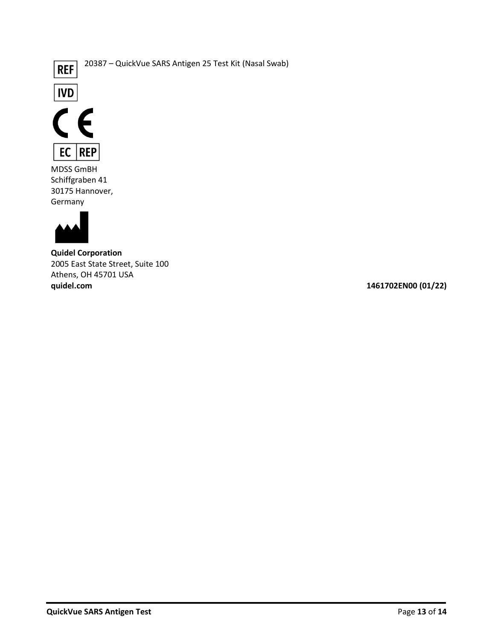

20387 – QuickVue SARS Antigen 25 Test Kit (Nasal Swab)





MDSS GmBH Schiffgraben 41 30175 Hannover, Germany



**Quidel Corporation** 2005 East State Street, Suite 100 Athens, OH 45701 USA<br>quidel.com

**quidel.com 1461702EN00 (01/22)**